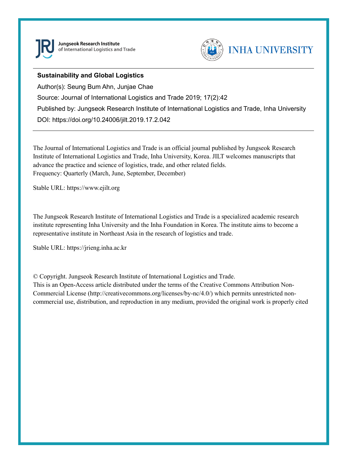

Jungseok Research Institute of International Logistics and Trade



## **Sustainability and Global Logistics**

Author(s): Seung Bum Ahn, Junjae Chae Source: Journal of International Logistics and Trade 2019; 17(2):42 Published by: Jungseok Research Institute of International Logistics and Trade, Inha University DOI: https://doi.org/10.24006/jilt.2019.17.2.042

The Journal of International Logistics and Trade is an official journal published by Jungseok Research Institute of International Logistics and Trade, Inha University, Korea. JILT welcomes manuscripts that advance the practice and science of logistics, trade, and other related fields. Frequency: Quarterly (March, June, September, December)

Stable URL: https://www.ejilt.org

The Jungseok Research Institute of International Logistics and Trade is a specialized academic research institute representing Inha University and the Inha Foundation in Korea. The institute aims to become a representative institute in Northeast Asia in the research of logistics and trade.

Stable URL: https://jrieng.inha.ac.kr

© Copyright. Jungseok Research Institute of International Logistics and Trade.

This is an Open-Access article distributed under the terms of the Creative Commons Attribution Non-Commercial License (http://creativecommons.org/licenses/by-nc/4.0/) which permits unrestricted noncommercial use, distribution, and reproduction in any medium, provided the original work is properly cited